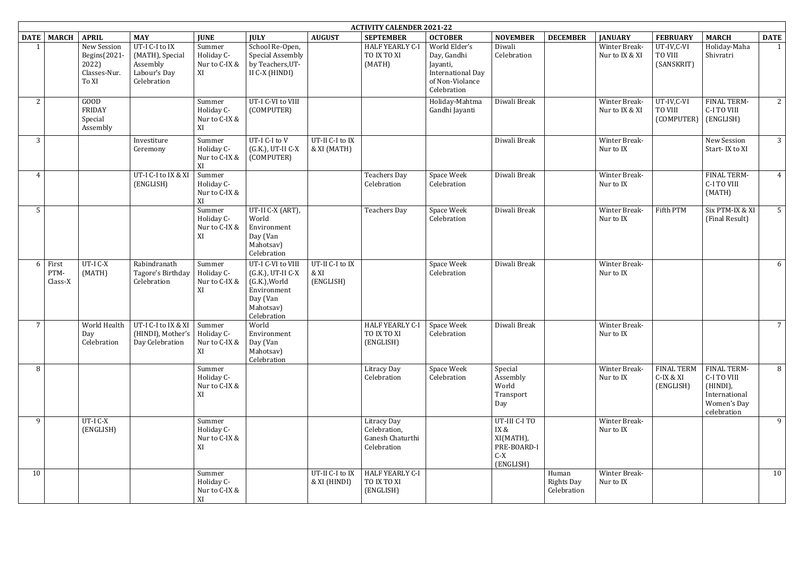|                            | <b>ACTIVITY CALENDER 2021-22</b>                              |                                                                                                 |                                             |                                                                                                                |                                      |                                                                |                                                                                                        |                                                                         |                                           |                                 |                                                   |                                                                                              |                 |
|----------------------------|---------------------------------------------------------------|-------------------------------------------------------------------------------------------------|---------------------------------------------|----------------------------------------------------------------------------------------------------------------|--------------------------------------|----------------------------------------------------------------|--------------------------------------------------------------------------------------------------------|-------------------------------------------------------------------------|-------------------------------------------|---------------------------------|---------------------------------------------------|----------------------------------------------------------------------------------------------|-----------------|
| DATE MARCH                 | <b>APRIL</b>                                                  | <b>MAY</b>                                                                                      | <b>JUNE</b>                                 | <b>JULY</b>                                                                                                    | <b>AUGUST</b>                        | <b>SEPTEMBER</b>                                               | <b>OCTOBER</b>                                                                                         | <b>NOVEMBER</b>                                                         | <b>DECEMBER</b>                           | <b>JANUARY</b>                  | <b>FEBRUARY</b>                                   | <b>MARCH</b>                                                                                 | <b>DATE</b>     |
|                            | New Session<br>Begins(2021-<br>2022)<br>Classes-Nur.<br>To XI | UT-I C-I to IX<br>(MATH), Special<br>Assembly<br>Labour's Day<br>Celebration                    | Summer<br>Holiday C-<br>Nur to C-IX &<br>XI | School Re-Open,<br><b>Special Assembly</b><br>by Teachers, UT-<br>II C-X (HINDI)                               |                                      | <b>HALF YEARLY C-I</b><br>TO IX TO XI<br>(MATH)                | World Elder's<br>Day, Gandhi<br>Jayanti,<br><b>International Day</b><br>of Non-Violance<br>Celebration | Diwali<br>Celebration                                                   |                                           | Winter Break-<br>Nur to IX & XI | UT-IV,C-VI<br>TO VIII<br>(SANSKRIT)               | Holiday-Maha<br>Shivratri                                                                    | 1               |
| $2^{\circ}$                | GOOD<br><b>FRIDAY</b><br>Special<br>Assembly                  |                                                                                                 | Summer<br>Holiday C-<br>Nur to C-IX &<br>XI | UT-I C-VI to VIII<br>(COMPUTER)                                                                                |                                      |                                                                | Holiday-Mahtma<br>Gandhi Jayanti                                                                       | Diwali Break                                                            |                                           | Winter Break-<br>Nur to IX & XI | UT-IV,C-VI<br>TO VIII<br>$(COMPUTER)$ $(ENGLISH)$ | FINAL TERM-<br>C-I TO VIII                                                                   | 2               |
| 3                          |                                                               | Investiture<br>Ceremony                                                                         | Summer<br>Holiday C-<br>Nur to C-IX &<br>XI | UT-I C-I to V<br>(G.K.), UT-II C-X<br>(COMPUTER)                                                               | UT-II C-I to IX<br>& XI (MATH)       |                                                                |                                                                                                        | Diwali Break                                                            |                                           | Winter Break-<br>Nur to IX      |                                                   | New Session<br>Start-IX to XI                                                                | $\mathbf{3}$    |
| 4                          |                                                               | UT-I C-I to IX & XI<br>(ENGLISH)                                                                | Summer<br>Holiday C-<br>Nur to C-IX &<br>XI |                                                                                                                |                                      | <b>Teachers Day</b><br>Celebration                             | Space Week<br>Celebration                                                                              | Diwali Break                                                            |                                           | Winter Break-<br>Nur to IX      |                                                   | FINAL TERM-<br><b>C-I TO VIII</b><br>(MATH)                                                  | 4               |
| 5 <sup>1</sup>             |                                                               |                                                                                                 | Summer<br>Holiday C-<br>Nur to C-IX &<br>XI | UT-II C-X (ART),<br>World<br>Environment<br>Day (Van<br>Mahotsav)<br>Celebration                               |                                      | <b>Teachers Day</b>                                            | Space Week<br>Celebration                                                                              | Diwali Break                                                            |                                           | Winter Break-<br>Nur to IX      | Fifth PTM                                         | Six PTM-IX & XI<br>(Final Result)                                                            | $5\overline{)}$ |
| 6 First<br>PTM-<br>Class-X | UT-I C-X<br>(MATH)                                            | Rabindranath<br>Tagore's Birthday<br>Celebration                                                | Summer<br>Holiday C-<br>Nur to C-IX &<br>XI | UT-I C-VI to VIII<br>(G.K.), UT-II C-X<br>(G.K.), World<br>Environment<br>Day (Van<br>Mahotsav)<br>Celebration | UT-II C-I to IX<br>& XI<br>(ENGLISH) |                                                                | Space Week<br>Celebration                                                                              | Diwali Break                                                            |                                           | Winter Break-<br>Nur to IX      |                                                   |                                                                                              | 6               |
| 7 <sup>1</sup>             | Day<br>Celebration                                            | World Health $\vert$ UT-I C-I to IX & XI $\vert$ Summer<br>(HINDI), Mother's<br>Day Celebration | Holiday C-<br>Nur to C-IX &<br>XI           | World<br>Environment<br>Day (Van<br>Mahotsav)<br>Celebration                                                   |                                      | HALF YEARLY C-I<br>TO IX TO XI<br>(ENGLISH)                    | Space Week<br>Celebration                                                                              | Diwali Break                                                            |                                           | Winter Break-<br>Nur to IX      |                                                   |                                                                                              | 7               |
| 8                          |                                                               |                                                                                                 | Summer<br>Holiday C-<br>Nur to C-IX &<br>XI |                                                                                                                |                                      | Litracy Day<br>Celebration                                     | Space Week<br>Celebration                                                                              | Special<br>Assembly<br>World<br>Transport<br>Day                        |                                           | Winter Break-<br>Nur to IX      | <b>FINAL TERM</b><br>C-IX & XI<br>(ENGLISH)       | <b>FINAL TERM-</b><br>C-I TO VIII<br>(HINDI),<br>International<br>Women's Day<br>celebration | 8               |
| 9                          | UT-I C-X<br>(ENGLISH)                                         |                                                                                                 | Summer<br>Holiday C-<br>Nur to C-IX &<br>XI |                                                                                                                |                                      | Litracy Day<br>Celebration,<br>Ganesh Chaturthi<br>Celebration |                                                                                                        | UT-III C-I TO<br>IX &<br>XI(MATH),<br>PRE-BOARD-I<br>$C-X$<br>(ENGLISH) |                                           | Winter Break-<br>Nur to IX      |                                                   |                                                                                              | 9               |
| 10                         |                                                               |                                                                                                 | Summer<br>Holiday C-<br>Nur to C-IX &<br>XI |                                                                                                                | UT-II C-I to IX<br>& XI (HINDI)      | <b>HALF YEARLY C-I</b><br>TO IX TO XI<br>(ENGLISH)             |                                                                                                        |                                                                         | Human<br><b>Rights Day</b><br>Celebration | Winter Break-<br>Nur to IX      |                                                   |                                                                                              | 10              |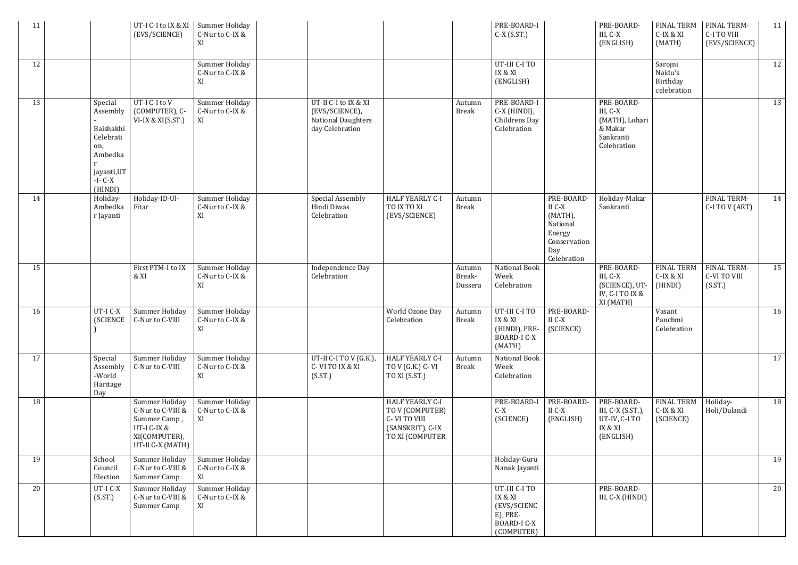| 11 |                                                                                                         | UT-I C-I to IX & XI<br>(EVS/SCIENCE)                                                                           | Summer Holiday<br>C-Nur to C-IX &<br>XI |                                                                                        |                                                                                                  |                             | PRE-BOARD-I<br>$C-X$ (S.ST.)                                                            |                                                                                             | PRE-BOARD-<br>III, C-X<br>(ENGLISH)                                             | <b>FINAL TERM</b><br>C-IX & XI<br>(MATH)      | <b>FINAL TERM-</b><br>C-I TO VIII<br>(EVS/SCIENCE) | 11 |
|----|---------------------------------------------------------------------------------------------------------|----------------------------------------------------------------------------------------------------------------|-----------------------------------------|----------------------------------------------------------------------------------------|--------------------------------------------------------------------------------------------------|-----------------------------|-----------------------------------------------------------------------------------------|---------------------------------------------------------------------------------------------|---------------------------------------------------------------------------------|-----------------------------------------------|----------------------------------------------------|----|
| 12 |                                                                                                         |                                                                                                                | Summer Holiday<br>C-Nur to C-IX &<br>XI |                                                                                        |                                                                                                  |                             | UT-III C-I TO<br>IX & XI<br>(ENGLISH)                                                   |                                                                                             |                                                                                 | Sarojni<br>Naidu's<br>Birthday<br>celebration |                                                    | 12 |
| 13 | Special<br>Assembly<br>Baishakhi<br>Celebrati<br>on,<br>Ambedka<br>jayanti, UT<br>$-I - C-X$<br>(HINDI) | UT-I C-I to V<br>(COMPUTER), C-<br>VI-IX & XI(S.ST.)                                                           | Summer Holiday<br>C-Nur to C-IX &<br>XI | UT-II C-I to IX & XI<br>(EVS/SCIENCE),<br><b>National Daughters</b><br>day Celebration |                                                                                                  | Autumn<br><b>Break</b>      | PRE-BOARD-I<br>C-X (HINDI),<br>Childrens Day<br>Celebration                             |                                                                                             | PRE-BOARD-<br>III, C-X<br>(MATH), Lohari<br>& Makar<br>Sankranti<br>Celebration |                                               |                                                    | 13 |
| 14 | Holiday-<br>Ambedka<br>r Jayanti                                                                        | Holiday-ID-Ul-<br>Fitar                                                                                        | Summer Holiday<br>C-Nur to C-IX &<br>XI | <b>Special Assembly</b><br>Hindi Diwas<br>Celebration                                  | <b>HALF YEARLY C-I</b><br>TO IX TO XI<br>(EVS/SCIENCE)                                           | Autumn<br><b>Break</b>      |                                                                                         | PRE-BOARD-<br>II C-X<br>(MATH),<br>National<br>Energy<br>Conservation<br>Day<br>Celebration | Holiday-Makar<br>Sankranti                                                      |                                               | FINAL TERM-<br>C-I TO V (ART)                      | 14 |
| 15 |                                                                                                         | First PTM-I to IX<br>& XI                                                                                      | Summer Holiday<br>C-Nur to C-IX &<br>XI | <b>Independence Day</b><br>Celebration                                                 |                                                                                                  | Autumn<br>Break-<br>Dussera | National Book<br>Week<br>Celebration                                                    |                                                                                             | PRE-BOARD-<br>III, C-X<br>(SCIENCE), UT-<br>IV, C-I TO IX &<br>XI (MATH)        | <b>FINAL TERM</b><br>C-IX & XI<br>(HINDI)     | <b>FINAL TERM-</b><br>C-VI TO VIII<br>(S(ST.)      | 15 |
| 16 | UT-I C-X<br>(SCIENCE                                                                                    | Summer Holiday<br>C-Nur to C-VIII                                                                              | Summer Holiday<br>C-Nur to C-IX &<br>XI |                                                                                        | World Ozone Day<br>Celebration                                                                   | Autumn<br><b>Break</b>      | UT-III C-I TO<br>IX & XI<br>(HINDI), PRE-<br><b>BOARD-I C-X</b><br>(MATH)               | PRE-BOARD-<br>II C-X<br>(SCIENCE)                                                           |                                                                                 | Vasant<br>Panchmi<br>Celebration              |                                                    | 16 |
| 17 | Special<br>Assembly<br>-World<br>Haritage<br>Day                                                        | Summer Holiday<br>C-Nur to C-VIII                                                                              | Summer Holiday<br>C-Nur to C-IX &<br>XI | UT-II C-I TO V (G.K.),<br>C-VITO IX & XI<br>(SST.)                                     | <b>HALF YEARLY C-I</b><br>TO V (G.K.) C- VI<br>TO XI (S.ST.)                                     | Autumn<br><b>Break</b>      | National Book<br>Week<br>Celebration                                                    |                                                                                             |                                                                                 |                                               |                                                    | 17 |
| 18 |                                                                                                         | <b>Summer Holiday</b><br>C-Nur to C-VIII &<br>Summer Camp,<br>UT-I C-IX &<br>XI(COMPUTER),<br>UT-II C-X (MATH) | Summer Holiday<br>C-Nur to C-IX &<br>XI |                                                                                        | <b>HALF YEARLY C-I</b><br>TO V (COMPUTER)<br>C-VI TO VIII<br>(SANSKRIT), C-IX<br>TO XI (COMPUTER |                             | PRE-BOARD-I<br>$C-X$<br>(SCIENCE)                                                       | PRE-BOARD-<br>II C-X<br>(ENGLISH)                                                           | PRE-BOARD-<br>III, C-X (S.ST.),<br>UT-IV, C-I TO<br>IX & XI<br>(ENGLISH)        | <b>FINAL TERM</b><br>C-IX & XI<br>(SCIENCE)   | Holiday-<br>Holi/Dulandi                           | 18 |
| 19 | School<br>Council<br>Election                                                                           | Summer Holiday<br>C-Nur to C-VIII &<br>Summer Camp                                                             | Summer Holiday<br>C-Nur to C-IX &<br>XI |                                                                                        |                                                                                                  |                             | Holiday-Guru<br>Nanak Jayanti                                                           |                                                                                             |                                                                                 |                                               |                                                    | 19 |
| 20 | UT-I C-X<br>(SST.)                                                                                      | Summer Holiday<br>C-Nur to C-VIII &<br>Summer Camp                                                             | Summer Holiday<br>C-Nur to C-IX &<br>XI |                                                                                        |                                                                                                  |                             | UT-III C-I TO<br>IX & XI<br>(EVS/SCIENC<br>E), PRE-<br><b>BOARD-I C-X</b><br>(COMPUTER) |                                                                                             | PRE-BOARD-<br>III, C-X (HINDI)                                                  |                                               |                                                    | 20 |